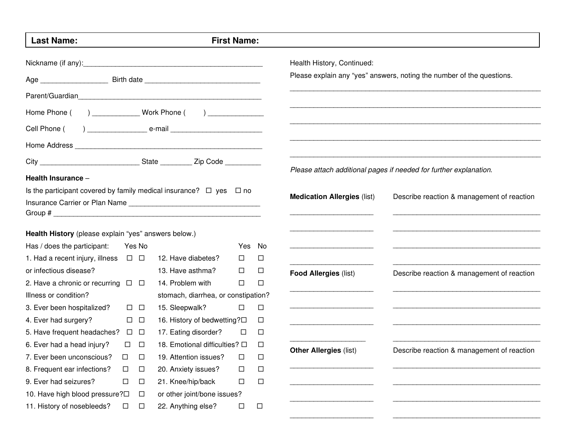| <b>Last Name:</b><br><b>First Name:</b>                                      |               |        |                                         |        |        |                                    |                                                                       |  |
|------------------------------------------------------------------------------|---------------|--------|-----------------------------------------|--------|--------|------------------------------------|-----------------------------------------------------------------------|--|
|                                                                              |               |        |                                         |        |        | Health History, Continued:         |                                                                       |  |
|                                                                              |               |        |                                         |        |        |                                    | Please explain any "yes" answers, noting the number of the questions. |  |
|                                                                              |               |        |                                         |        |        |                                    |                                                                       |  |
| Home Phone ( ) _______________ Work Phone ( ) _____________                  |               |        |                                         |        |        |                                    |                                                                       |  |
| Cell Phone (                                                                 |               |        |                                         |        |        |                                    |                                                                       |  |
|                                                                              |               |        |                                         |        |        |                                    |                                                                       |  |
|                                                                              |               |        |                                         |        |        |                                    |                                                                       |  |
| Health Insurance -                                                           |               |        |                                         |        |        |                                    | Please attach additional pages if needed for further explanation.     |  |
| Is the participant covered by family medical insurance? $\Box$ yes $\Box$ no |               |        |                                         |        |        |                                    |                                                                       |  |
|                                                                              |               |        |                                         |        |        | <b>Medication Allergies (list)</b> | Describe reaction & management of reaction                            |  |
| Health History (please explain "yes" answers below.)                         |               |        |                                         |        |        |                                    |                                                                       |  |
| Has / does the participant:                                                  |               | Yes No |                                         | Yes No |        |                                    |                                                                       |  |
| 1. Had a recent injury, illness $\Box$ $\Box$                                |               |        | 12. Have diabetes?                      | $\Box$ | □      |                                    |                                                                       |  |
| or infectious disease?                                                       |               |        | 13. Have asthma?                        | $\Box$ | $\Box$ | <b>Food Allergies (list)</b>       | Describe reaction & management of reaction                            |  |
| 2. Have a chronic or recurring $\Box$ $\Box$                                 |               |        | 14. Problem with                        | $\Box$ | $\Box$ |                                    |                                                                       |  |
| Illness or condition?<br>stomach, diarrhea, or constipation?                 |               |        |                                         |        |        |                                    |                                                                       |  |
| 3. Ever been hospitalized?                                                   | $\Box$ $\Box$ |        | 15. Sleepwalk?                          | $\Box$ | $\Box$ |                                    |                                                                       |  |
| 4. Ever had surgery?                                                         | $\Box$ $\Box$ |        | 16. History of bedwetting? $\square$    |        | ш      |                                    |                                                                       |  |
| 5. Have frequent headaches? $\Box$ $\Box$                                    |               |        | 17. Eating disorder?                    | □      | $\Box$ |                                    |                                                                       |  |
| 6. Ever had a head injury?                                                   | $\Box$ $\Box$ |        | 18. Emotional difficulties? $\Box$<br>□ |        |        | <b>Other Allergies (list)</b>      | Describe reaction & management of reaction                            |  |
| 7. Ever been unconscious?                                                    | $\Box$        | $\Box$ | 19. Attention issues?                   | □      | □      |                                    |                                                                       |  |
| 8. Frequent ear infections?                                                  | □             | $\Box$ | 20. Anxiety issues?                     | □      | $\Box$ |                                    |                                                                       |  |
| 9. Ever had seizures?                                                        | $\Box$        | $\Box$ | 21. Knee/hip/back                       | □      | $\Box$ |                                    |                                                                       |  |
| 10. Have high blood pressure?<br>$\Box$<br>or other joint/bone issues?       |               |        |                                         |        |        |                                    |                                                                       |  |
| 11. History of nosebleeds?                                                   | □             | □      | 22. Anything else?                      | $\Box$ | $\Box$ |                                    |                                                                       |  |

 $\qquad \qquad \qquad -\;$